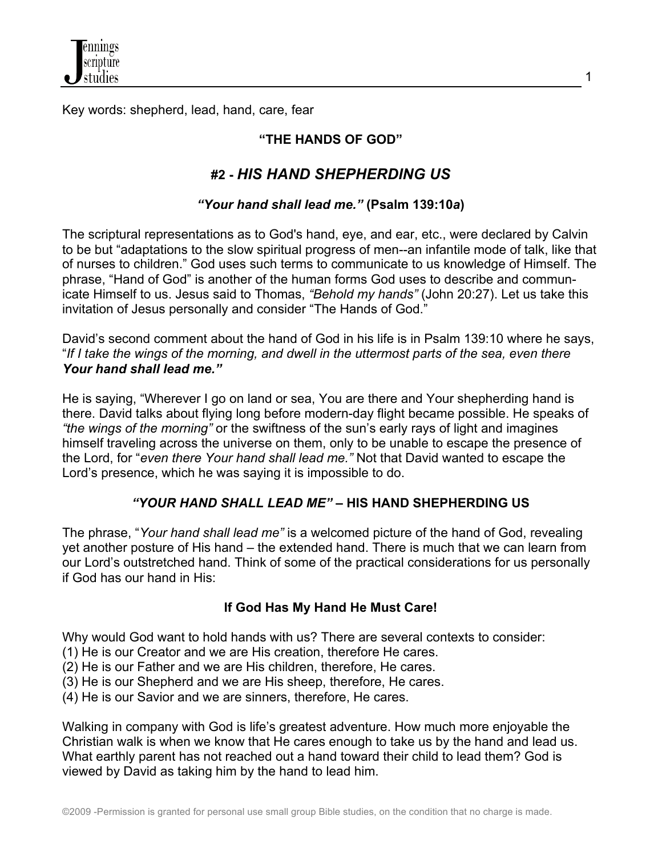

Key words: shepherd, lead, hand, care, fear

### **"THE HANDS OF GOD"**

# **#2 -** *HIS HAND SHEPHERDING US*

#### *"Your hand shall lead me."* **(Psalm 139:10***a***)**

The scriptural representations as to God's hand, eye, and ear, etc., were declared by Calvin to be but "adaptations to the slow spiritual progress of men--an infantile mode of talk, like that of nurses to children." God uses such terms to communicate to us knowledge of Himself. The phrase, "Hand of God" is another of the human forms God uses to describe and communicate Himself to us. Jesus said to Thomas, *"Behold my hands"* (John 20:27). Let us take this invitation of Jesus personally and consider "The Hands of God."

David's second comment about the hand of God in his life is in Psalm 139:10 where he says, "*If I take the wings of the morning, and dwell in the uttermost parts of the sea, even there Your hand shall lead me."*

He is saying, "Wherever I go on land or sea, You are there and Your shepherding hand is there. David talks about flying long before modern-day flight became possible. He speaks of *"the wings of the morning"* or the swiftness of the sun's early rays of light and imagines himself traveling across the universe on them, only to be unable to escape the presence of the Lord, for "*even there Your hand shall lead me."* Not that David wanted to escape the Lord's presence, which he was saying it is impossible to do.

#### *"YOUR HAND SHALL LEAD ME"* **– HIS HAND SHEPHERDING US**

The phrase, "*Your hand shall lead me"* is a welcomed picture of the hand of God, revealing yet another posture of His hand – the extended hand. There is much that we can learn from our Lord's outstretched hand. Think of some of the practical considerations for us personally if God has our hand in His:

#### **If God Has My Hand He Must Care!**

Why would God want to hold hands with us? There are several contexts to consider:

- (1) He is our Creator and we are His creation, therefore He cares.
- (2) He is our Father and we are His children, therefore, He cares.
- (3) He is our Shepherd and we are His sheep, therefore, He cares.

(4) He is our Savior and we are sinners, therefore, He cares.

Walking in company with God is life's greatest adventure. How much more enjoyable the Christian walk is when we know that He cares enough to take us by the hand and lead us. What earthly parent has not reached out a hand toward their child to lead them? God is viewed by David as taking him by the hand to lead him.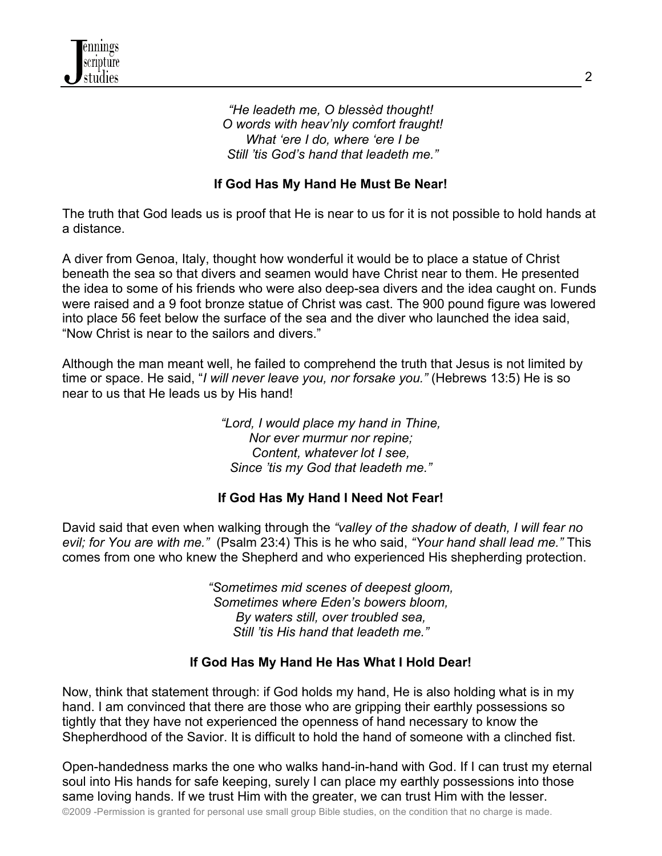#### *"He leadeth me, O blessèd thought! O words with heav'nly comfort fraught! What 'ere I do, where 'ere I be Still 'tis God's hand that leadeth me."*

## **If God Has My Hand He Must Be Near!**

The truth that God leads us is proof that He is near to us for it is not possible to hold hands at a distance.

A diver from Genoa, Italy, thought how wonderful it would be to place a statue of Christ beneath the sea so that divers and seamen would have Christ near to them. He presented the idea to some of his friends who were also deep-sea divers and the idea caught on. Funds were raised and a 9 foot bronze statue of Christ was cast. The 900 pound figure was lowered into place 56 feet below the surface of the sea and the diver who launched the idea said, "Now Christ is near to the sailors and divers."

Although the man meant well, he failed to comprehend the truth that Jesus is not limited by time or space. He said, "*I will never leave you, nor forsake you."* (Hebrews 13:5) He is so near to us that He leads us by His hand!

> *"Lord, I would place my hand in Thine, Nor ever murmur nor repine; Content, whatever lot I see, Since 'tis my God that leadeth me."*

# **If God Has My Hand I Need Not Fear!**

David said that even when walking through the *"valley of the shadow of death, I will fear no evil; for You are with me."* (Psalm 23:4) This is he who said, *"Your hand shall lead me."* This comes from one who knew the Shepherd and who experienced His shepherding protection.

> *"Sometimes mid scenes of deepest gloom, Sometimes where Eden's bowers bloom, By waters still, over troubled sea, Still 'tis His hand that leadeth me."*

## **If God Has My Hand He Has What I Hold Dear!**

Now, think that statement through: if God holds my hand, He is also holding what is in my hand. I am convinced that there are those who are gripping their earthly possessions so tightly that they have not experienced the openness of hand necessary to know the Shepherdhood of the Savior. It is difficult to hold the hand of someone with a clinched fist.

Open-handedness marks the one who walks hand-in-hand with God. If I can trust my eternal soul into His hands for safe keeping, surely I can place my earthly possessions into those same loving hands. If we trust Him with the greater, we can trust Him with the lesser.

©2009 -Permission is granted for personal use small group Bible studies, on the condition that no charge is made.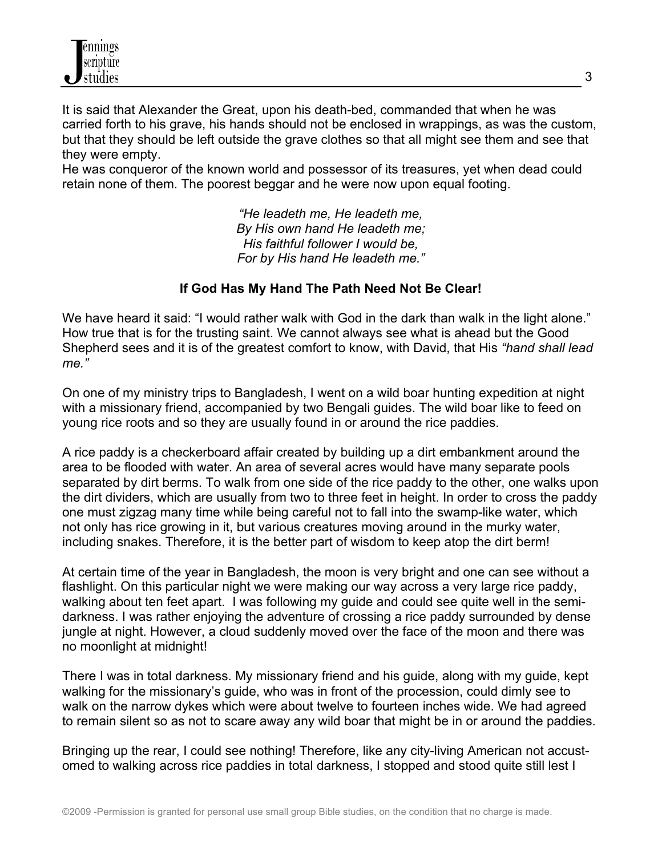It is said that Alexander the Great, upon his death-bed, commanded that when he was carried forth to his grave, his hands should not be enclosed in wrappings, as was the custom, but that they should be left outside the grave clothes so that all might see them and see that they were empty.

He was conqueror of the known world and possessor of its treasures, yet when dead could retain none of them. The poorest beggar and he were now upon equal footing.

> *"He leadeth me, He leadeth me, By His own hand He leadeth me; His faithful follower I would be, For by His hand He leadeth me."*

#### **If God Has My Hand The Path Need Not Be Clear!**

We have heard it said: "I would rather walk with God in the dark than walk in the light alone." How true that is for the trusting saint. We cannot always see what is ahead but the Good Shepherd sees and it is of the greatest comfort to know, with David, that His *"hand shall lead me."*

On one of my ministry trips to Bangladesh, I went on a wild boar hunting expedition at night with a missionary friend, accompanied by two Bengali guides. The wild boar like to feed on young rice roots and so they are usually found in or around the rice paddies.

A rice paddy is a checkerboard affair created by building up a dirt embankment around the area to be flooded with water. An area of several acres would have many separate pools separated by dirt berms. To walk from one side of the rice paddy to the other, one walks upon the dirt dividers, which are usually from two to three feet in height. In order to cross the paddy one must zigzag many time while being careful not to fall into the swamp-like water, which not only has rice growing in it, but various creatures moving around in the murky water, including snakes. Therefore, it is the better part of wisdom to keep atop the dirt berm!

At certain time of the year in Bangladesh, the moon is very bright and one can see without a flashlight. On this particular night we were making our way across a very large rice paddy, walking about ten feet apart. I was following my guide and could see quite well in the semidarkness. I was rather enjoying the adventure of crossing a rice paddy surrounded by dense jungle at night. However, a cloud suddenly moved over the face of the moon and there was no moonlight at midnight!

There I was in total darkness. My missionary friend and his guide, along with my guide, kept walking for the missionary's guide, who was in front of the procession, could dimly see to walk on the narrow dykes which were about twelve to fourteen inches wide. We had agreed to remain silent so as not to scare away any wild boar that might be in or around the paddies.

Bringing up the rear, I could see nothing! Therefore, like any city-living American not accustomed to walking across rice paddies in total darkness, I stopped and stood quite still lest I